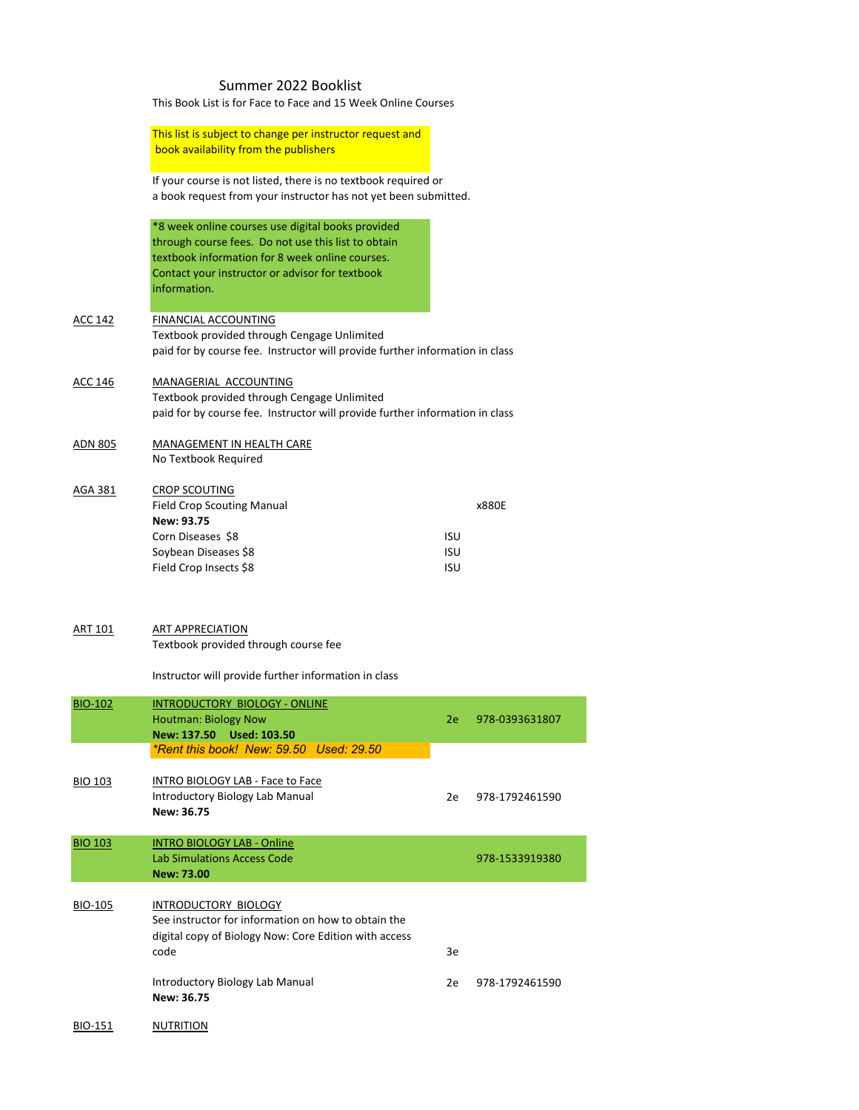## Summer 2022 Booklist

This Book List is for Face to Face and 15 Week Online Courses

This list is subject to change per instructor request and book availability from the publishers

If your course is not listed, there is no textbook required or a book request from your instructor has not yet been submitted.

\*8 week online courses use digital books provided through course fees. Do not use this list to obtain textbook information for 8 week online courses. Contact your instructor or advisor for textbook information.

# ACC 142 FINANCIAL ACCOUNTING Textbook provided through Cengage Unlimited paid for by course fee. Instructor will provide further information in class

# ACC 146 MANAGERIAL ACCOUNTING

See instructor for information on how to obtain the digital copy of Biology Now: Core Edition with access code 3e

Textbook provided through Cengage Unlimited paid for by course fee. Instructor will provide further information in class

Introductory Biology Lab Manual 2e 978-1792461590 **New: 36.75**

BIO-151 NUTRITION

#### ADN 805 MANAGEMENT IN HEALTH CARE No Textbook Required

#### AGA 381 CROP SCOUTING

| <b>Field Crop Scouting Manual</b><br><b>x880F</b> |
|---------------------------------------------------|
|                                                   |
| ISU                                               |
| <b>ISU</b>                                        |
| ISU                                               |
|                                                   |

#### ART 101 ART APPRECIATION

Textbook provided through course fee

Instructor will provide further information in class

| <b>BIO-102</b> | INTRODUCTORY BIOLOGY - ONLINE<br><b>Houtman: Biology Now</b> | 2e 978-0393631807 |
|----------------|--------------------------------------------------------------|-------------------|
|                | New: 137.50 Used: 103.50                                     |                   |
|                | *Rent this book! New: 59.50 Used: 29.50                      |                   |

 $BIO$  103 INTRO BIOLOGY LAB - Es

| <b>BIO 103</b> | INTRO BIOLOGY LAB - Face to Face<br>Introductory Biology Lab Manual<br>New: 36.75 | 2e | 978-1792461590 |
|----------------|-----------------------------------------------------------------------------------|----|----------------|
| <b>BIO 103</b> | <b>INTRO BIOLOGY LAB - Online</b><br>Lab Simulations Access Code<br>New: 73.00    |    | 978-1533919380 |
| <b>BIO-105</b> | INTRODUCTORY BIOLOGY<br>See instructor for information on how to obtain the       |    |                |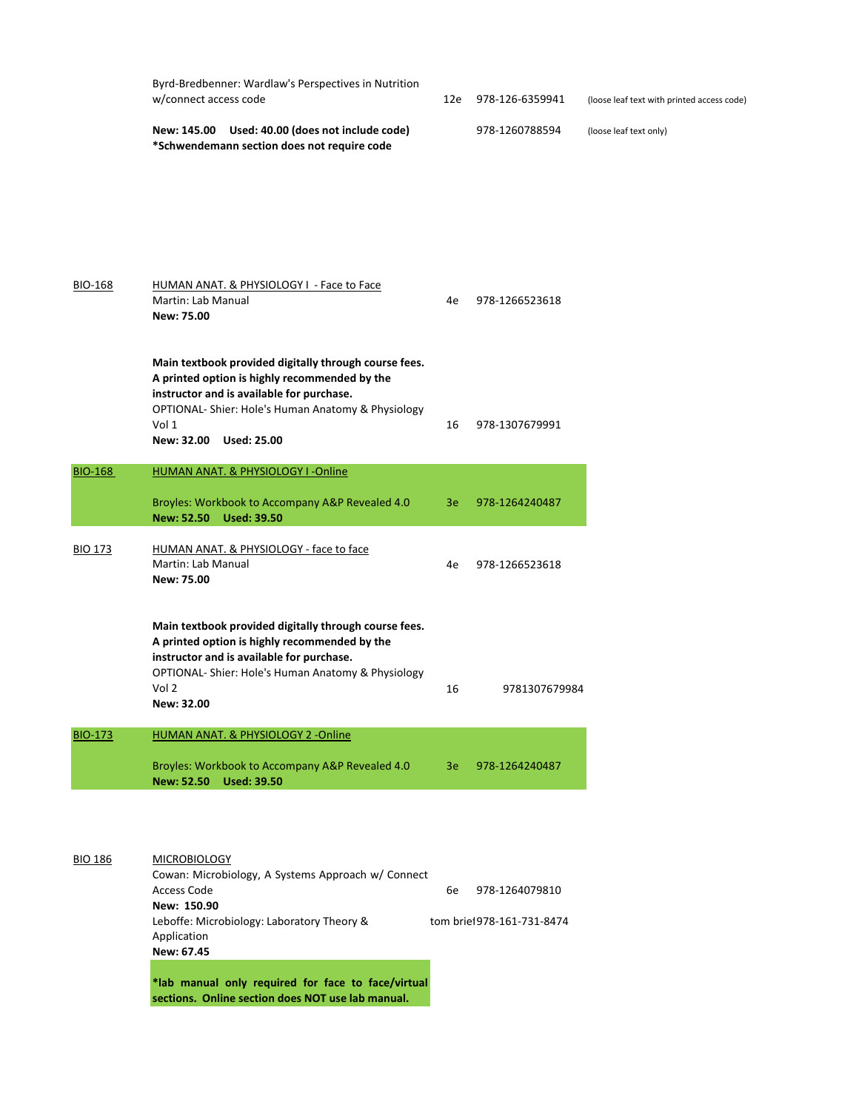| Byrd-Bredbenner: Wardlaw's Perspectives in Nutrition<br>w/connect access code                  |  | 978-126-6359941 | (loose leaf text with printed access code) |  |  |
|------------------------------------------------------------------------------------------------|--|-----------------|--------------------------------------------|--|--|
| New: 145.00 Used: 40.00 (does not include code)<br>*Schwendemann section does not require code |  | 978-1260788594  | (loose leaf text only)                     |  |  |

| <b>BIO-168</b> | HUMAN ANAT. & PHYSIOLOGY I - Face to Face<br><b>Martin: Lab Manual</b><br>New: 75.00                                                                                                                                                                             | 4e | 978-1266523618 |
|----------------|------------------------------------------------------------------------------------------------------------------------------------------------------------------------------------------------------------------------------------------------------------------|----|----------------|
|                | Main textbook provided digitally through course fees.<br>A printed option is highly recommended by the<br>instructor and is available for purchase.<br><b>OPTIONAL-Shier: Hole's Human Anatomy &amp; Physiology</b><br>Vol 1<br><b>Used: 25.00</b><br>New: 32.00 | 16 | 978-1307679991 |
| <b>BIO-168</b> | <b>HUMAN ANAT. &amp; PHYSIOLOGY I-Online</b>                                                                                                                                                                                                                     |    |                |

| DIO-TOO        | <b>TURNAIN ANATE &amp; FITISIOLOGI T-UTITUE</b>                                                                                                                                                                                            |    |                |
|----------------|--------------------------------------------------------------------------------------------------------------------------------------------------------------------------------------------------------------------------------------------|----|----------------|
|                | Broyles: Workbook to Accompany A&P Revealed 4.0<br>New: 52.50 Used: 39.50                                                                                                                                                                  | 3e | 978-1264240487 |
| <b>BIO 173</b> | HUMAN ANAT. & PHYSIOLOGY - face to face<br>Martin: Lab Manual<br>New: 75.00                                                                                                                                                                | 4e | 978-1266523618 |
|                | Main textbook provided digitally through course fees.<br>A printed option is highly recommended by the<br>instructor and is available for purchase.<br>OPTIONAL-Shier: Hole's Human Anatomy & Physiology<br>Vol <sub>2</sub><br>New: 32.00 | 16 | 9781307679984  |
| <b>BIO-173</b> | HUMAN ANAT. & PHYSIOLOGY 2 -Online                                                                                                                                                                                                         |    |                |

| Broyles: Workbook to Accompany A&P Revealed 4.0 | 3e 978-1264240487 |
|-------------------------------------------------|-------------------|
| ------------                                    |                   |

# BIO 186 MICROBIOLOGY

Cowan: Microbiology, A Systems Approach w/ Connect Access Code 6e 978-1264079810 **New: 150.90** Leboffe: Microbiology: Laboratory Theory & tom brief 978-161-731-8474 Application **New: 67.45**

**\*lab manual only required for face to face/virtual sections. Online section does NOT use lab manual.**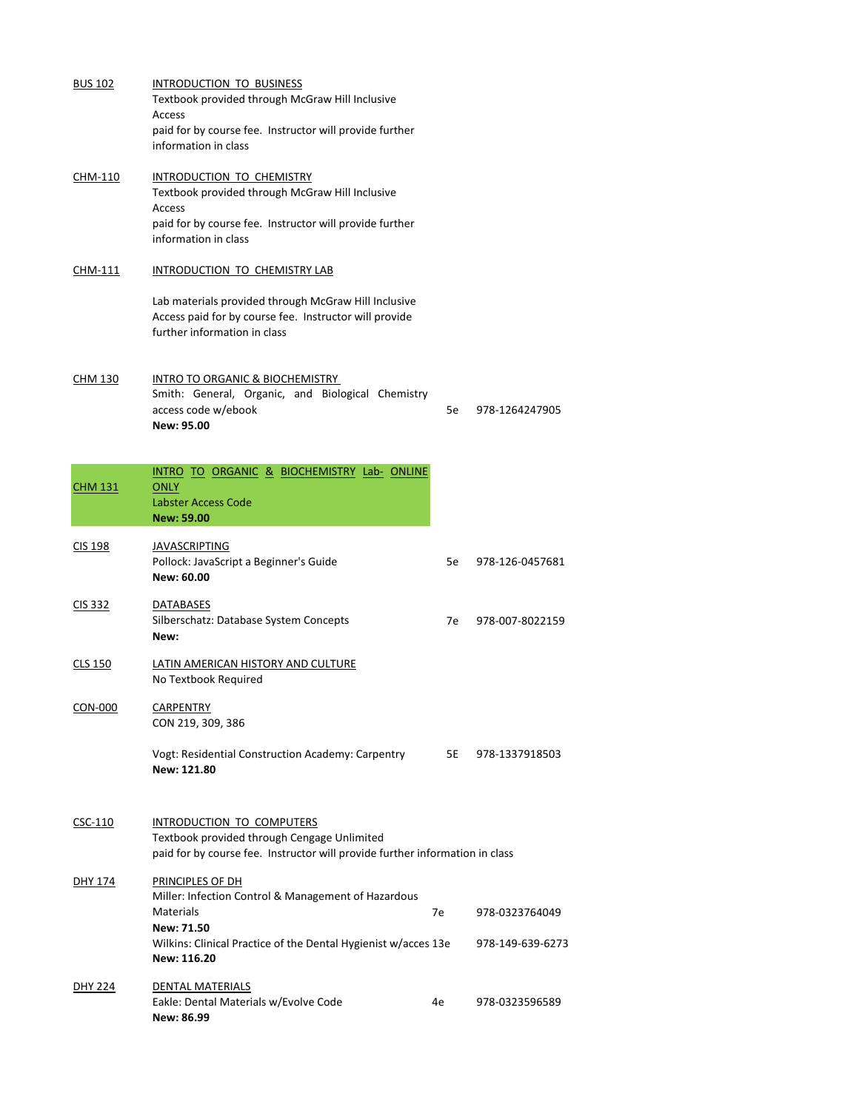| <b>BUS 102</b> | <b>INTRODUCTION TO BUSINESS</b><br>Textbook provided through McGraw Hill Inclusive<br><b>Access</b><br>paid for by course fee. Instructor will provide further<br>information in class |    |                 |
|----------------|----------------------------------------------------------------------------------------------------------------------------------------------------------------------------------------|----|-----------------|
| <b>CHM-110</b> | INTRODUCTION TO CHEMISTRY<br>Textbook provided through McGraw Hill Inclusive<br><b>Access</b><br>paid for by course fee. Instructor will provide further<br>information in class       |    |                 |
| <b>CHM-111</b> | INTRODUCTION TO CHEMISTRY LAB                                                                                                                                                          |    |                 |
|                | Lab materials provided through McGraw Hill Inclusive<br>Access paid for by course fee. Instructor will provide<br>further information in class                                         |    |                 |
| <b>CHM 130</b> | <b>INTRO TO ORGANIC &amp; BIOCHEMISTRY</b><br>Smith: General, Organic, and Biological Chemistry<br>access code w/ebook<br>New: 95.00                                                   | 5e | 978-1264247905  |
| <b>CHM 131</b> | INTRO TO ORGANIC & BIOCHEMISTRY Lab- ONLINE<br><b>ONLY</b><br><b>Labster Access Code</b><br><b>New: 59.00</b>                                                                          |    |                 |
| CIS 198        | <b>JAVASCRIPTING</b><br>Pollock: JavaScript a Beginner's Guide<br>New: 60.00                                                                                                           | 5e | 978-126-0457681 |
| <b>CIS 332</b> | <b>DATABASES</b><br>Silberschatz: Database System Concepts<br>New:                                                                                                                     | 7e | 978-007-8022159 |
| CLS 150        | LATIN AMERICAN HISTORY AND CULTURE<br>No Textbook Required                                                                                                                             |    |                 |
| <b>CON-000</b> | <b>CARPENTRY</b><br>CON 219, 309, 386                                                                                                                                                  |    |                 |
|                | Vogt: Residential Construction Academy: Carpentry<br>New: 121.80                                                                                                                       | 5E | 978-1337918503  |

# CSC-110 INTRODUCTION TO COMPUTERS

Eakle: Dental Materials w/Evolve Code 4e 978-0323596589 **New: 86.99**

Textbook provided through Cengage Unlimited paid for by course fee. Instructor will provide further information in class

## DHY 174 PRINCIPLES OF DH

Miller: Infection Control & Management of Hazardous Materials **Materials** 2008 12:00 12:00 12:00 12:00 12:00 12:00 12:00 12:00 12:00 12:00 12:00 12:00 12:00 12:00 12:00 12:00 12:00 12:00 12:00 12:00 12:00 12:00 12:00 12:00 12:00 12:00 12:00 12:00 12:00 12:00 12:00 12:00 12: **New: 71.50** Wilkins: Clinical Practice of the Dental Hygienist w/acces 13e 978-149-639-6273 **New: 116.20**

#### DHY 224 DENTAL MATERIALS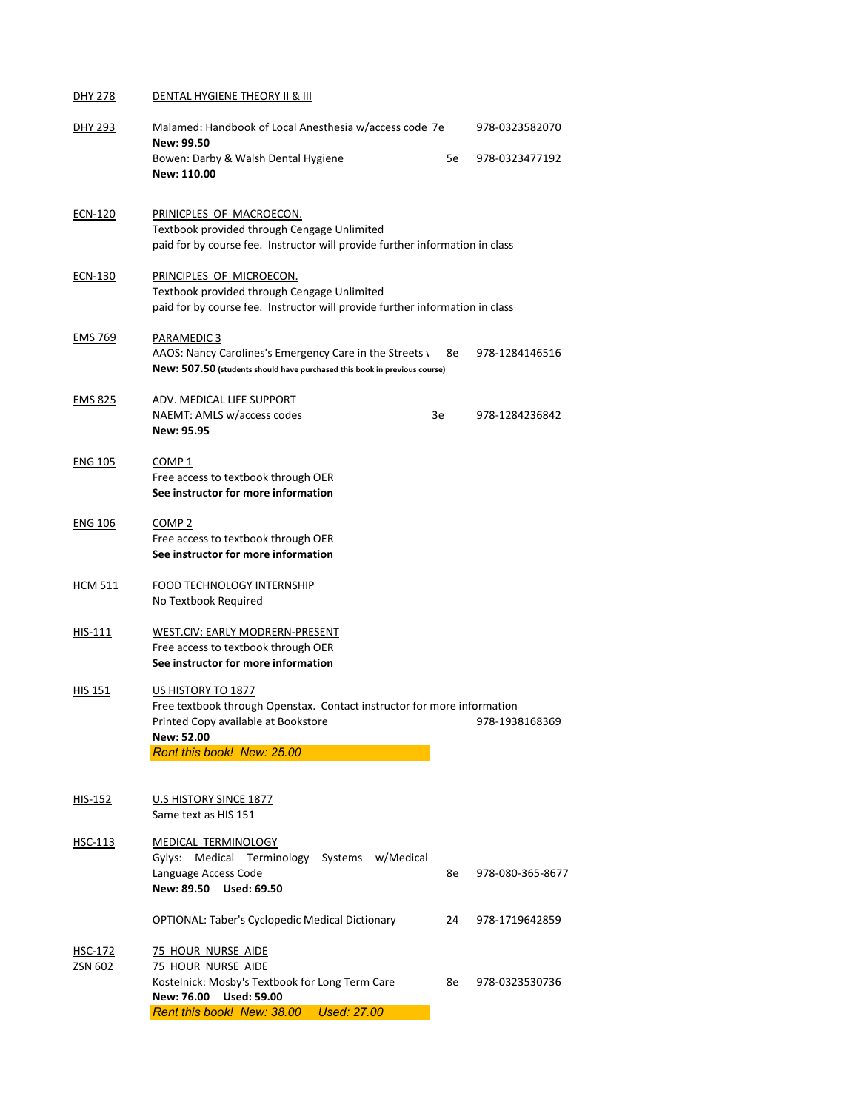# DHY 278 DENTAL HYGIENE THEORY II & III

| <b>DHY 293</b> | Malamed: Handbook of Local Anesthesia w/access code 7e<br>New: 99.50                                                                                                                    |    |                |  |  |  |
|----------------|-----------------------------------------------------------------------------------------------------------------------------------------------------------------------------------------|----|----------------|--|--|--|
|                | Bowen: Darby & Walsh Dental Hygiene<br>New: 110.00                                                                                                                                      | 5e | 978-0323477192 |  |  |  |
| <b>ECN-120</b> | PRINICPLES OF MACROECON.<br>Textbook provided through Cengage Unlimited<br>paid for by course fee. Instructor will provide further information in class                                 |    |                |  |  |  |
| ECN-130        | PRINCIPLES OF MICROECON.<br>Textbook provided through Cengage Unlimited<br>paid for by course fee. Instructor will provide further information in class                                 |    |                |  |  |  |
| <b>EMS 769</b> | PARAMEDIC 3<br>AAOS: Nancy Carolines's Emergency Care in the Streets v<br>New: 507.50 (students should have purchased this book in previous course)                                     | 8e | 978-1284146516 |  |  |  |
| <b>EMS 825</b> | ADV. MEDICAL LIFE SUPPORT<br>NAEMT: AMLS w/access codes<br><b>New: 95.95</b>                                                                                                            | 3e | 978-1284236842 |  |  |  |
| <b>ENG 105</b> | COMP <sub>1</sub><br>Free access to textbook through OER<br>See instructor for more information                                                                                         |    |                |  |  |  |
| <b>ENG 106</b> | COMP <sub>2</sub><br>Free access to textbook through OER<br>See instructor for more information                                                                                         |    |                |  |  |  |
| <b>HCM 511</b> | <b>FOOD TECHNOLOGY INTERNSHIP</b><br>No Textbook Required                                                                                                                               |    |                |  |  |  |
| $HIS-111$      | WEST.CIV: EARLY MODRERN-PRESENT<br>Free access to textbook through OER<br>See instructor for more information                                                                           |    |                |  |  |  |
| <b>HIS 151</b> | US HISTORY TO 1877<br>Free textbook through Openstax. Contact instructor for more information<br>Printed Copy available at Bookstore<br>New: 52.00<br><b>Rent this book! New: 25.00</b> |    | 978-1938168369 |  |  |  |

HIS-152 U.S HISTORY SINCE 1877 Same text as HIS 151

# HSC-113 MEDICAL TERMINOLOGY

Gylys: Medical Terminology Systems w/Medical Language Access Code **8e 120 apr 2012** 8e 1378-080-365-8677 **New: 89.50 Used: 69.50**

OPTIONAL: Taber's Cyclopedic Medical Dictionary 24 978-1719642859

- HSC-172 75 HOUR NURSE AIDE
- ZSN 602 75 HOUR NURSE AIDE

Kostelnick: Mosby's Textbook for Long Term Care 8e 978-0323530736

**New: 76.00 Used: 59.00**

*Rent this book! New: 38.00 Used: 27.00*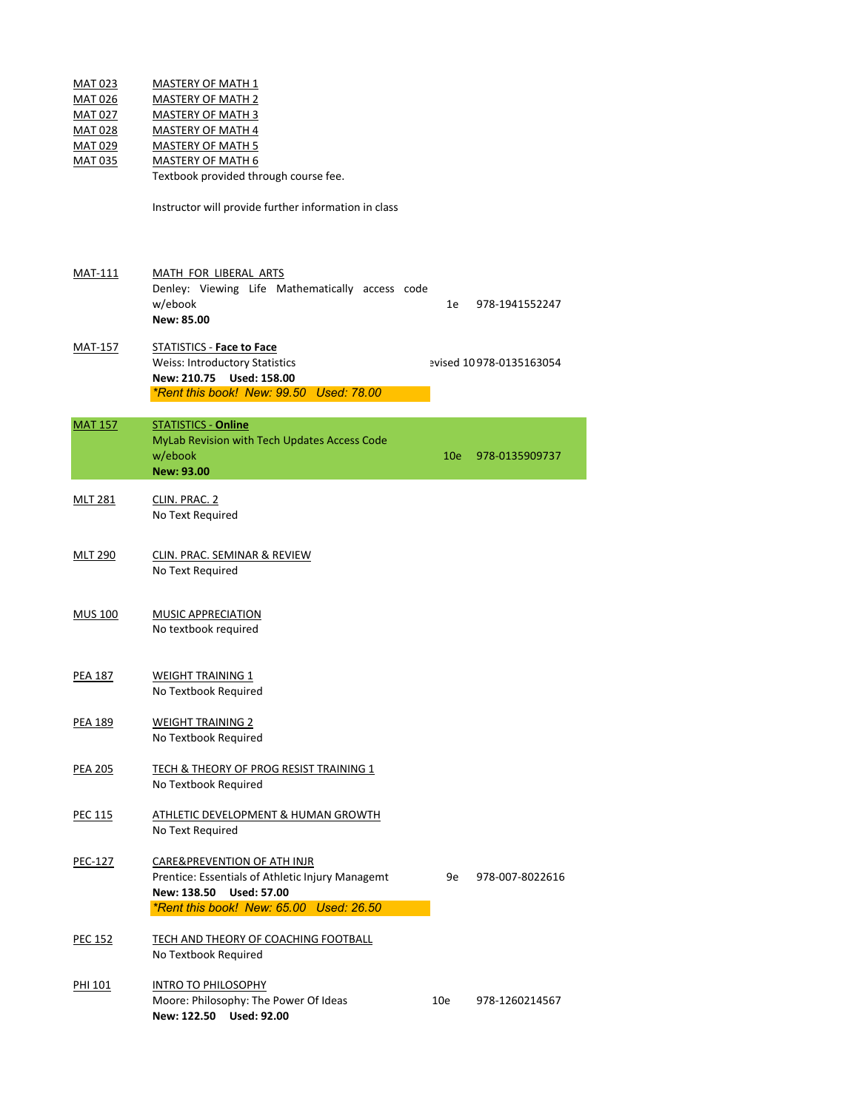| <b>MAT 023</b> | <b>MASTERY OF MATH 1</b> |
|----------------|--------------------------|
| <b>MAT 026</b> | <b>MASTERY OF MATH 2</b> |
| <b>MAT 027</b> | <b>MASTERY OF MATH 3</b> |
| <b>MAT 028</b> | <b>MASTERY OF MATH 4</b> |
| <b>MAT 029</b> | <b>MASTERY OF MATH 5</b> |
| . <i>.</i>     |                          |

MAT 035 MASTERY OF MATH 6

Textbook provided through course fee.

Instructor will provide further information in class

# MAT-111 MATH FOR LIBERAL ARTS

|            |  | Denley: Viewing Life Mathematically access code |  |                   |
|------------|--|-------------------------------------------------|--|-------------------|
| w/ebook    |  |                                                 |  | 1e 978-1941552247 |
| New: 85.00 |  |                                                 |  |                   |
|            |  |                                                 |  |                   |

# MLT 281 CLIN. PRAC. 2 No Text Required

MLT 290 CLIN. PRAC. SEMINAR & REVIEW No Text Required

- PEA 187 WEIGHT TRAINING 1 No Textbook Required
- PEA 189 WEIGHT TRAINING 2 No Textbook Required

# PEA 205 TECH & THEORY OF PROG RESIST TRAINING 1

# MAT-157 STATISTICS - **Face to Face** Weiss: Introductory Statistics evised 10 978-0135163054 **New: 210.75 Used: 158.00** *\*Rent this book! New: 99.50 Used: 78.00*

MAT 157 STATISTICS - **Online** MyLab Revision with Tech Updates Access Code w/ebook 10e 978-0135909737 **New: 93.00**

> Prentice: Essentials of Athletic Injury Managemt 9e 978-007-8022616 **New: 138.50 Used: 57.00** *\*Rent this book! New: 65.00 Used: 26.50*

- PEC 152 TECH AND THEORY OF COACHING FOOTBALL No Textbook Required
- PHI 101 **INTRO TO PHILOSOPHY** Moore: Philosophy: The Power Of Ideas 10e 978-1260214567 **New: 122.50 Used: 92.00**

# MUS 100 MUSIC APPRECIATION No textbook required

No Textbook Required

- PEC 115 ATHLETIC DEVELOPMENT & HUMAN GROWTH No Text Required
- PEC-127 CARE&PREVENTION OF ATH INJR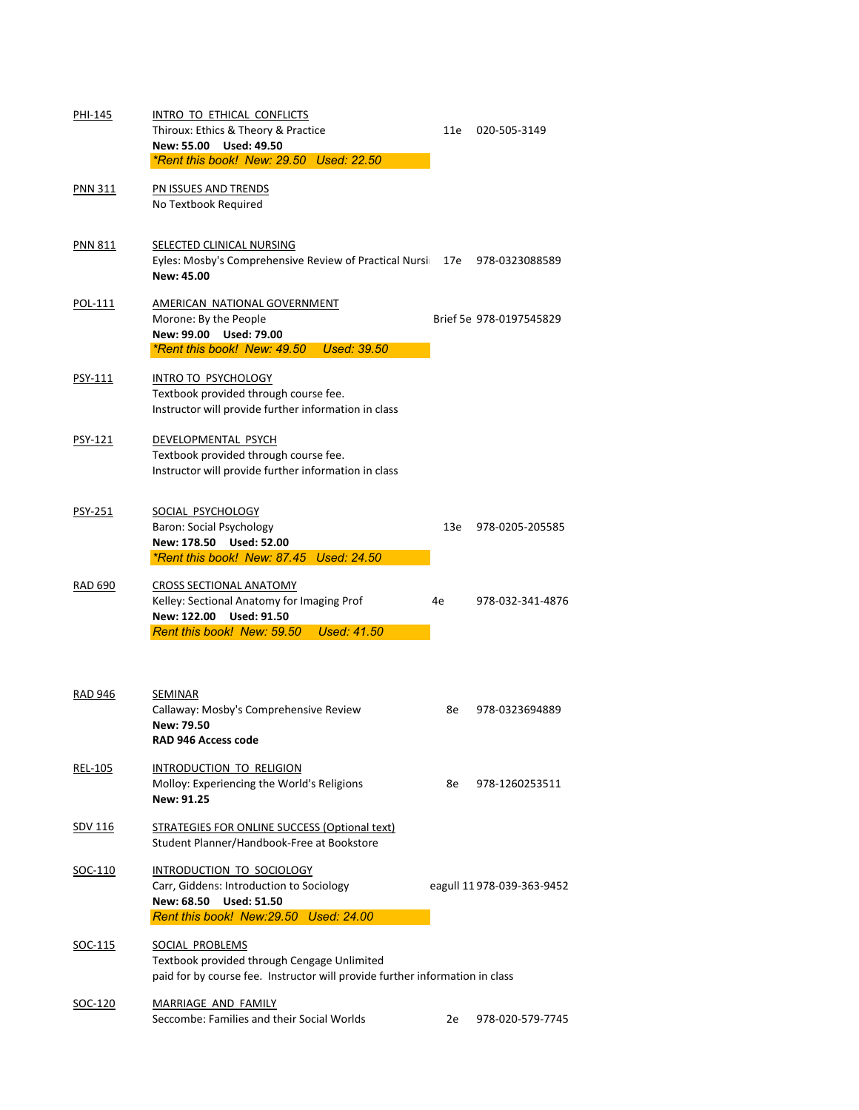| PHI-145        | INTRO TO ETHICAL CONFLICTS                                                              |     |                         |
|----------------|-----------------------------------------------------------------------------------------|-----|-------------------------|
|                | Thiroux: Ethics & Theory & Practice                                                     | 11e | 020-505-3149            |
|                | New: 55.00 Used: 49.50                                                                  |     |                         |
|                | *Rent this book! New: 29.50 Used: 22.50                                                 |     |                         |
| <b>PNN 311</b> | PN ISSUES AND TRENDS                                                                    |     |                         |
|                | No Textbook Required                                                                    |     |                         |
| <b>PNN 811</b> | SELECTED CLINICAL NURSING                                                               |     |                         |
|                | Eyles: Mosby's Comprehensive Review of Practical Nursi 17e 978-0323088589<br>New: 45.00 |     |                         |
| POL-111        | AMERICAN NATIONAL GOVERNMENT                                                            |     |                         |
|                | Morone: By the People                                                                   |     | Brief 5e 978-0197545829 |
|                | New: 99.00 Used: 79.00                                                                  |     |                         |
|                | *Rent this book! New: 49.50 Used: 39.50                                                 |     |                         |
| PSY-111        | <b>INTRO TO PSYCHOLOGY</b>                                                              |     |                         |
|                | Textbook provided through course fee.                                                   |     |                         |
|                | Instructor will provide further information in class                                    |     |                         |
| PSY-121        | DEVELOPMENTAL PSYCH                                                                     |     |                         |
|                | Textbook provided through course fee.                                                   |     |                         |
|                | Instructor will provide further information in class                                    |     |                         |
| <b>PSY-251</b> | SOCIAL PSYCHOLOGY                                                                       |     |                         |
|                | <b>Baron: Social Psychology</b>                                                         | 13e | 978-0205-205585         |
|                | <b>Used: 52.00</b><br>New: 178.50                                                       |     |                         |
|                | *Rent this book! New: 87.45 Used: 24.50                                                 |     |                         |
| <b>RAD 690</b> | <b>CROSS SECTIONAL ANATOMY</b>                                                          |     |                         |
|                | Kelley: Sectional Anatomy for Imaging Prof                                              | 4e  | 978-032-341-4876        |
|                | <b>Used: 91.50</b><br>New: 122.00                                                       |     |                         |
|                | Rent this book! New: 59.50 Used: 41.50                                                  |     |                         |
|                |                                                                                         |     |                         |
| <b>RAD 946</b> | <b>SEMINAR</b>                                                                          |     |                         |
|                | Callaway: Mosby's Comprehensive Review                                                  | 8e  | 978-0323694889          |
|                | New: 79.50                                                                              |     |                         |
|                | <b>RAD 946 Access code</b>                                                              |     |                         |
| <b>REL-105</b> | INTRODUCTION TO RELIGION                                                                |     |                         |

Molloy: Experiencing the World's Religions 8e 978-1260253511 **New: 91.25**

# SDV 116 STRATEGIES FOR ONLINE SUCCESS (Optional text) Student Planner/Handbook-Free at Bookstore

### SOC-110 INTRODUCTION TO SOCIOLOGY

Carr, Giddens: Introduction to Sociology eagull 11 978-039-363-9452

**New: 68.50 Used: 51.50**

*Rent this book! New:29.50 Used: 24.00*

# SOC-115 SOCIAL PROBLEMS

Textbook provided through Cengage Unlimited paid for by course fee. Instructor will provide further information in class

# SOC-120 MARRIAGE AND FAMILY

Seccombe: Families and their Social Worlds 2e 978-020-579-7745